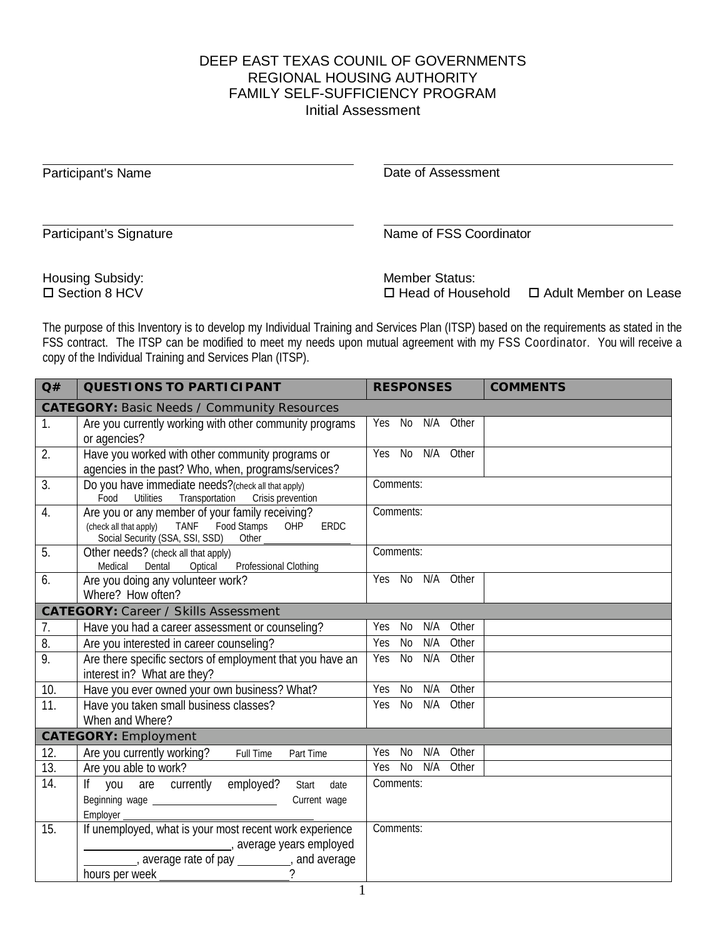## DEEP EAST TEXAS COUNIL OF GOVERNMENTS REGIONAL HOUSING AUTHORITY FAMILY SELF-SUFFICIENCY PROGRAM Initial Assessment

| Participant's Name                         | Date of Assessment                                                           |
|--------------------------------------------|------------------------------------------------------------------------------|
| Participant's Signature                    | Name of FSS Coordinator                                                      |
| <b>Housing Subsidy:</b><br>□ Section 8 HCV | <b>Member Status:</b><br>□ Adult Member on Lease<br>$\Box$ Head of Household |

The purpose of this Inventory is to develop my Individual Training and Services Plan (ITSP) based on the requirements as stated in the FSS contract. The ITSP can be modified to meet my needs upon mutual agreement with my FSS Coordinator. You will receive a copy of the Individual Training and Services Plan (ITSP).

| Q#                                          | <b>QUESTIONS TO PARTICIPANT</b>                                                                                                                                           | <b>RESPONSES</b>                 | <b>COMMENTS</b> |  |  |
|---------------------------------------------|---------------------------------------------------------------------------------------------------------------------------------------------------------------------------|----------------------------------|-----------------|--|--|
|                                             | <b>CATEGORY: Basic Needs / Community Resources</b>                                                                                                                        |                                  |                 |  |  |
| 1.                                          | Are you currently working with other community programs<br>or agencies?                                                                                                   | No N/A<br>Other<br>Yes           |                 |  |  |
| 2.                                          | Have you worked with other community programs or<br>agencies in the past? Who, when, programs/services?                                                                   | Yes<br>No N/A<br>Other           |                 |  |  |
| 3.                                          | Do you have immediate needs?(check all that apply)<br>Transportation<br>Crisis prevention<br>Food<br><b>Utilities</b>                                                     | Comments:                        |                 |  |  |
| $\overline{4}$ .                            | Are you or any member of your family receiving?<br><b>TANF</b><br><b>Food Stamps</b><br>(check all that apply)<br>OHP<br>ERDC<br>Social Security (SSA, SSI, SSD)<br>Other | Comments:                        |                 |  |  |
| 5.                                          | Other needs? (check all that apply)<br>Professional Clothing<br>Optical<br>Medical<br>Dental                                                                              | Comments:                        |                 |  |  |
| 6.                                          | Are you doing any volunteer work?<br>Where? How often?                                                                                                                    | Yes<br>No<br>N/A<br>Other        |                 |  |  |
| <b>CATEGORY: Career / Skills Assessment</b> |                                                                                                                                                                           |                                  |                 |  |  |
| 7.                                          | Have you had a career assessment or counseling?                                                                                                                           | N/A<br>Other<br>Yes<br>No        |                 |  |  |
| 8.                                          | Are you interested in career counseling?                                                                                                                                  | Yes<br><b>No</b><br>N/A<br>Other |                 |  |  |
| 9.                                          | Are there specific sectors of employment that you have an<br>interest in? What are they?                                                                                  | Yes<br><b>No</b><br>N/A<br>Other |                 |  |  |
| 10.                                         | Have you ever owned your own business? What?                                                                                                                              | Other<br>Yes<br>No<br>N/A        |                 |  |  |
| 11.                                         | Have you taken small business classes?<br>When and Where?                                                                                                                 | <b>No</b><br>N/A<br>Other<br>Yes |                 |  |  |
| <b>CATEGORY: Employment</b>                 |                                                                                                                                                                           |                                  |                 |  |  |
| 12.                                         | Are you currently working?<br><b>Full Time</b><br>Part Time                                                                                                               | N/A<br>Other<br>Yes<br>No        |                 |  |  |
| $\overline{13}$ .                           | Are you able to work?                                                                                                                                                     | <b>No</b><br>N/A<br>Other<br>Yes |                 |  |  |
| 14.                                         | you are currently employed?<br>$\mathsf{If}$<br>Start<br>date                                                                                                             | Comments:                        |                 |  |  |
|                                             | Current wage<br>Employer                                                                                                                                                  |                                  |                 |  |  |
| 15.                                         | If unemployed, what is your most recent work experience                                                                                                                   | Comments:                        |                 |  |  |
|                                             | average years employed                                                                                                                                                    |                                  |                 |  |  |
|                                             |                                                                                                                                                                           |                                  |                 |  |  |
|                                             |                                                                                                                                                                           |                                  |                 |  |  |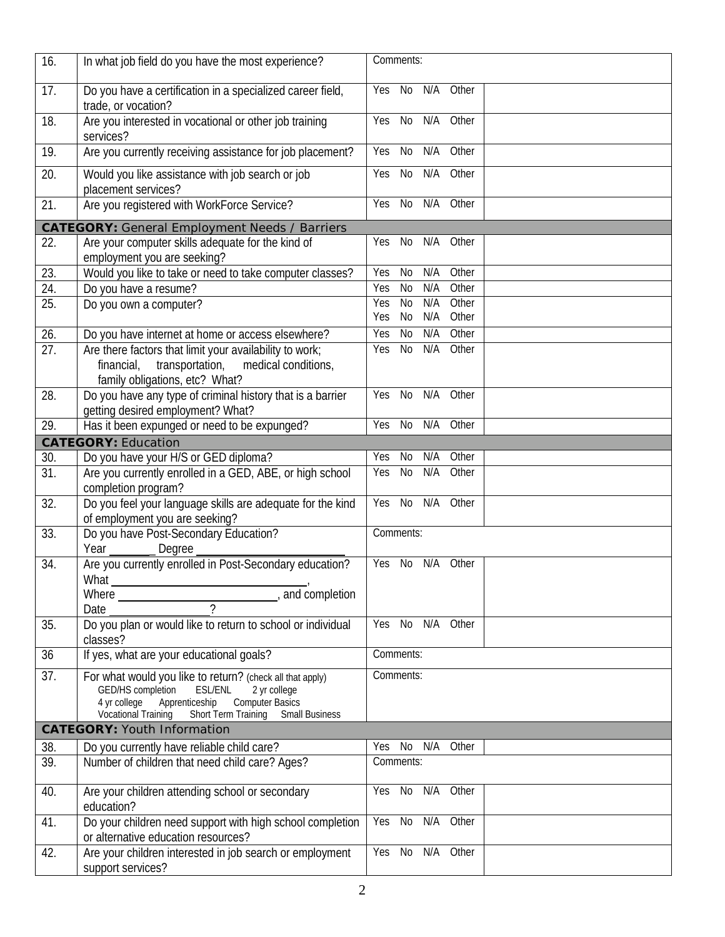| 16. | In what job field do you have the most experience?                                                                                                                                                                                 | Comments:                               |
|-----|------------------------------------------------------------------------------------------------------------------------------------------------------------------------------------------------------------------------------------|-----------------------------------------|
| 17. | Do you have a certification in a specialized career field,<br>trade, or vocation?                                                                                                                                                  | N/A<br>No<br>Other<br>Yes               |
| 18. | Are you interested in vocational or other job training<br>services?                                                                                                                                                                | N/A<br>Other<br>Yes<br>No               |
| 19. | Are you currently receiving assistance for job placement?                                                                                                                                                                          | Yes<br>No<br>N/A<br>Other               |
| 20. | Would you like assistance with job search or job<br>placement services?                                                                                                                                                            | N/A<br>Other<br>No<br>Yes               |
| 21. | Are you registered with WorkForce Service?                                                                                                                                                                                         | N/A<br>Other<br>Yes<br>No               |
|     | <b>CATEGORY:</b> General Employment Needs / Barriers                                                                                                                                                                               |                                         |
| 22. | Are your computer skills adequate for the kind of<br>employment you are seeking?                                                                                                                                                   | N/A<br>Other<br>No<br>Yes               |
| 23. | Would you like to take or need to take computer classes?                                                                                                                                                                           | <b>Yes</b><br><b>No</b><br>N/A<br>Other |
| 24. | Do you have a resume?                                                                                                                                                                                                              | Other<br>N <sub>0</sub><br>N/A<br>Yes   |
| 25. | Do you own a computer?                                                                                                                                                                                                             | N/A<br>Other<br>Yes<br><b>No</b>        |
|     |                                                                                                                                                                                                                                    | N/A<br>Other<br>No<br>Yes               |
| 26. | Do you have internet at home or access elsewhere?                                                                                                                                                                                  | Other<br>$\overline{N}$<br>N/A<br>Yes   |
| 27. | Are there factors that limit your availability to work;<br>transportation,<br>medical conditions,<br>financial,<br>family obligations, etc? What?                                                                                  | <b>No</b><br>N/A<br>Other<br>Yes        |
| 28. | Do you have any type of criminal history that is a barrier<br>getting desired employment? What?                                                                                                                                    | <b>No</b><br>N/A<br>Other<br>Yes        |
| 29. | Has it been expunged or need to be expunged?                                                                                                                                                                                       | N/A<br>Other<br>Yes<br>No               |
|     | <b>CATEGORY: Education</b>                                                                                                                                                                                                         |                                         |
| 30. | Do you have your H/S or GED diploma?                                                                                                                                                                                               | N/A<br>Other<br>Yes<br>No               |
| 31. | Are you currently enrolled in a GED, ABE, or high school<br>completion program?                                                                                                                                                    | $\overline{N}$<br>N/A<br>Other<br>Yes   |
| 32. | Do you feel your language skills are adequate for the kind<br>of employment you are seeking?                                                                                                                                       | Yes<br>No<br>N/A<br>Other               |
| 33. | Do you have Post-Secondary Education?<br>Year<br>Degree                                                                                                                                                                            | Comments:                               |
| 34. | Are you currently enrolled in Post-Secondary education?<br>What_                                                                                                                                                                   | Other<br>Yes<br>No<br>N/A               |
|     | Where Merce Manual Museum Manual Association and completion                                                                                                                                                                        |                                         |
|     | $\mathcal{L}$<br>Date                                                                                                                                                                                                              |                                         |
| 35. | Do you plan or would like to return to school or individual<br>classes?                                                                                                                                                            | Yes No N/A Other                        |
| 36  | If yes, what are your educational goals?                                                                                                                                                                                           | Comments:                               |
| 37. | For what would you like to return? (check all that apply)<br>GED/HS completion<br><b>ESL/ENL</b><br>2 yr college<br>Computer Basics<br>4 yr college<br>Apprenticeship<br>Vocational Training<br>Short Term Training Small Business | Comments:                               |
|     | <b>CATEGORY: Youth Information</b>                                                                                                                                                                                                 |                                         |
| 38. | Do you currently have reliable child care?                                                                                                                                                                                         | N/A<br>Yes No<br>Other                  |
| 39. | Number of children that need child care? Ages?                                                                                                                                                                                     | Comments:                               |
| 40. | Are your children attending school or secondary<br>education?                                                                                                                                                                      | Yes No N/A Other                        |
| 41. | Do your children need support with high school completion<br>or alternative education resources?                                                                                                                                   | N/A<br>Yes No<br>Other                  |
| 42. | Are your children interested in job search or employment<br>support services?                                                                                                                                                      | $Yes$ No<br>N/A<br>Other                |